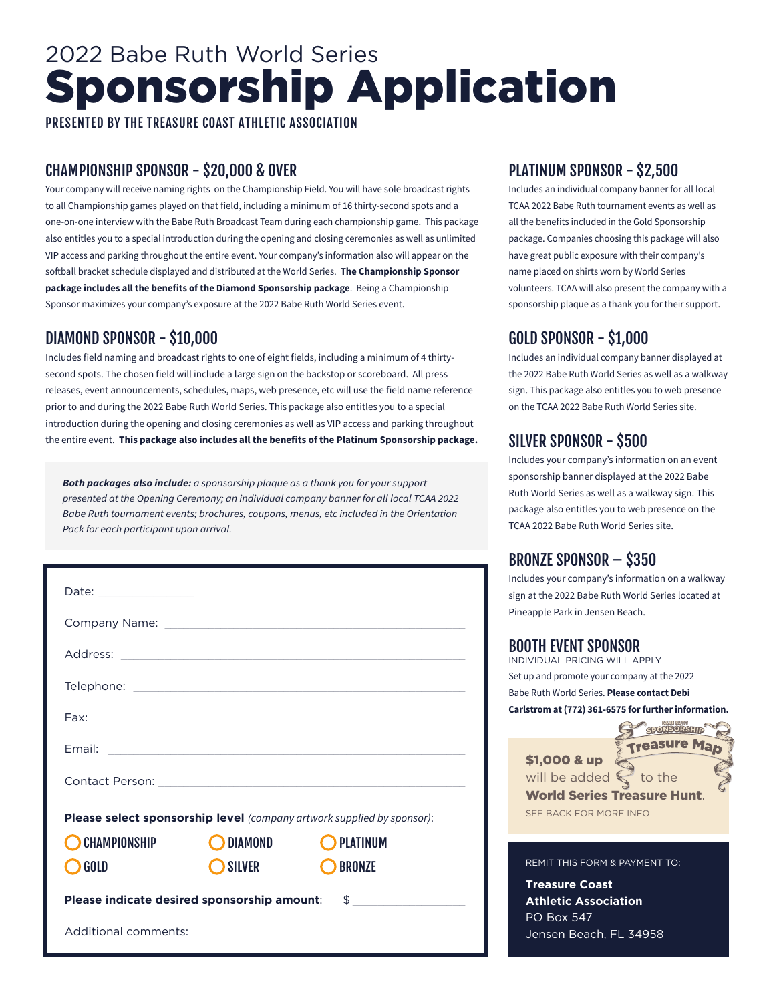# 2022 Babe Ruth World Series Sponsorship Application

PRESENTED BY THE TREASURE COAST ATHLETIC ASSOCIATION

#### CHAMPIONSHIP SPONSOR - \$20,000 & OVER

Your company will receive naming rights on the Championship Field. You will have sole broadcast rights to all Championship games played on that field, including a minimum of 16 thirty-second spots and a one-on-one interview with the Babe Ruth Broadcast Team during each championship game. This package also entitles you to a special introduction during the opening and closing ceremonies as well as unlimited VIP access and parking throughout the entire event. Your company's information also will appear on the softball bracket schedule displayed and distributed at the World Series. **The Championship Sponsor package includes all the benefits of the Diamond Sponsorship package**. Being a Championship Sponsor maximizes your company's exposure at the 2022 Babe Ruth World Series event.

# DIAMOND SPONSOR - \$10,000

Includes field naming and broadcast rights to one of eight fields, including a minimum of 4 thirtysecond spots. The chosen field will include a large sign on the backstop or scoreboard. All press releases, event announcements, schedules, maps, web presence, etc will use the field name reference prior to and during the 2022 Babe Ruth World Series. This package also entitles you to a special introduction during the opening and closing ceremonies as well as VIP access and parking throughout the entire event. **This package also includes all the benefits of the Platinum Sponsorship package.**

*Both packages also include: a sponsorship plaque as a thank you for your support presented at the Opening Ceremony; an individual company banner for all local TCAA 2022 Babe Ruth tournament events; brochures, coupons, menus, etc included in the Orientation Pack for each participant upon arrival.*

| Please select sponsorship level (company artwork supplied by sponsor): |               |                 |
|------------------------------------------------------------------------|---------------|-----------------|
| <b>CHAMPIONSHIP</b>                                                    | DIAMOND       | <b>PLATINUM</b> |
| <b>GOLD</b>                                                            | <b>SILVER</b> | <b>BRONZE</b>   |
| Please indicate desired sponsorship amount: \$                         |               |                 |
|                                                                        |               |                 |

#### PLATINUM SPONSOR - \$2,500

Includes an individual company banner for all local TCAA 2022 Babe Ruth tournament events as well as all the benefits included in the Gold Sponsorship package. Companies choosing this package will also have great public exposure with their company's name placed on shirts worn by World Series volunteers. TCAA will also present the company with a sponsorship plaque as a thank you for their support.

# GOLD SPONSOR - \$1,000

Includes an individual company banner displayed at the 2022 Babe Ruth World Series as well as a walkway sign. This package also entitles you to web presence on the TCAA 2022 Babe Ruth World Series site.

# SILVER SPONSOR - \$500

Includes your company's information on an event sponsorship banner displayed at the 2022 Babe Ruth World Series as well as a walkway sign. This package also entitles you to web presence on the TCAA 2022 Babe Ruth World Series site.

### BRONZE SPONSOR – \$350

Includes your company's information on a walkway sign at the 2022 Babe Ruth World Series located at Pineapple Park in Jensen Beach.

#### BOOTH EVENT SPONSOR

INDIVIDUAL PRICING WILL APPLY Set up and promote your company at the 2022 Babe Ruth World Series. **Please contact Debi Carlstrom at (772) 361-6575 for further information.**

**SPONSORSHIP Treasure Man** \$1,000 & up will be added  $\mathbb C$  to the World Series Treasure Hunt. SEE BACK FOR MORE INFO

#### REMIT THIS FORM & PAYMENT TO:

**Treasure Coast Athletic Association** PO Box 547 Jensen Beach, FL 34958